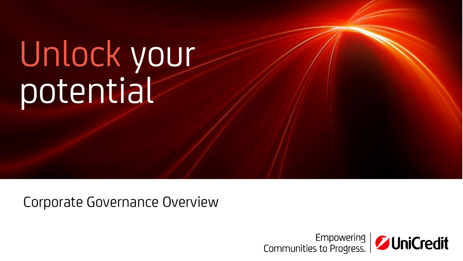# Unlock your potential

Corporate Governance Overview

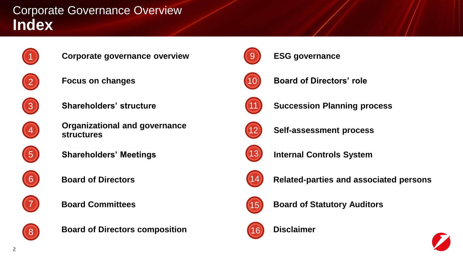## **Index** Corporate Governance Overview



**Corporate governance overview**



**Focus on changes**



**Shareholders' structure**



**Organizational and governance structures**



**Shareholders' Meetings**



**Board of Directors**



**Board Committees**



**Board of Directors composition**



**ESG governance**



**Board of Directors' role**



**Succession Planning process**



**Self-assessment process**



**Internal Controls System**



**Related-parties and associated persons**



**Board of Statutory Auditors**



**Disclaimer**

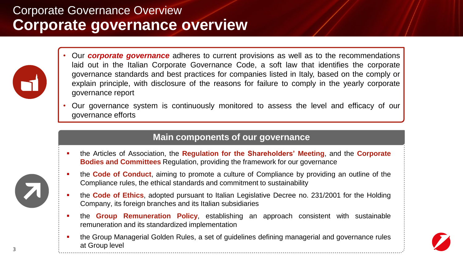# **Corporate governance overview** Corporate Governance Overview



- Our *corporate governance* adheres to current provisions as well as to the recommendations laid out in the Italian Corporate Governance Code, a soft law that identifies the corporate governance standards and best practices for companies listed in Italy, based on the comply or explain principle, with disclosure of the reasons for failure to comply in the yearly corporate governance report
- Our governance system is continuously monitored to assess the level and efficacy of our governance efforts

### **Main components of our governance**

- the Articles of Association, the **Regulation for the Shareholders' Meeting**, and the **Corporate Bodies and Committees** Regulation, providing the framework for our governance
- the **Code of Conduct**, aiming to promote a culture of Compliance by providing an outline of the Compliance rules, the ethical standards and commitment to sustainability
- the **Code of Ethics**, adopted pursuant to Italian Legislative Decree no. 231/2001 for the Holding Company, its foreign branches and its Italian subsidiaries
- the **Group Remuneration Policy**, establishing an approach consistent with sustainable remuneration and its standardized implementation
- the Group Managerial Golden Rules, a set of guidelines defining managerial and governance rules at Group level



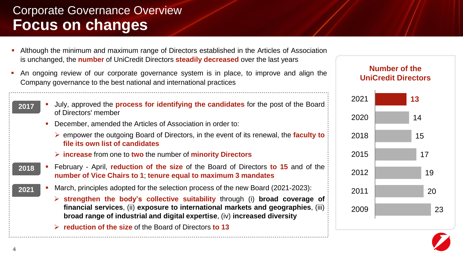# **Focus on changes** Corporate Governance Overview

- Although the minimum and maximum range of Directors established in the Articles of Association is unchanged, the **number** of UniCredit Directors **steadily decreased** over the last years
- An ongoing review of our corporate governance system is in place, to improve and align the Company governance to the best national and international practices
	- July, approved the **process for identifying the candidates** for the post of the Board of Directors' member **2017**
		- December, amended the Articles of Association in order to:
			- ➢ empower the outgoing Board of Directors, in the event of its renewal, the **faculty to file its own list of candidates**
			- ➢ **increase** from one to **two** the number of **minority Directors**
	- February April, **reduction of the size** of the Board of Directors **to 15** and of the **number of Vice Chairs to 1**; **tenure equal to maximum 3 mandates 2018**
	- March, principles adopted for the selection process of the new Board (2021-2023): **2021**
		- ➢ **strengthen the body's collective suitability** through (i) **broad coverage of financial services**, (ii) **exposure to international markets and geographies**, (iii) **broad range of industrial and digital expertise**, (iv) **increased diversity**
		- ➢ **reduction of the size** of the Board of Directors **to 13**



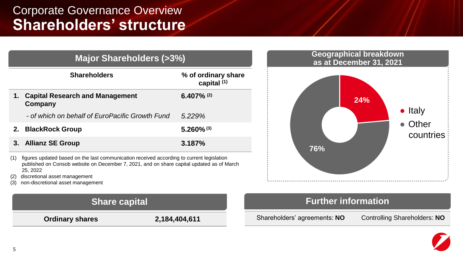### **Shareholders' structure** Corporate Governance Overview

| <b>Major Shareholders (&gt;370)</b>                                                             |                                                   |                                               |
|-------------------------------------------------------------------------------------------------|---------------------------------------------------|-----------------------------------------------|
|                                                                                                 | <b>Shareholders</b>                               | % of ordinary share<br>capital <sup>(1)</sup> |
| 1.                                                                                              | <b>Capital Research and Management</b><br>Company | $6.407\%$ (2)                                 |
|                                                                                                 | - of which on behalf of EuroPacific Growth Fund   | 5.229%                                        |
| 2.                                                                                              | <b>BlackRock Group</b>                            | $5.260\%$ <sup>(3)</sup>                      |
|                                                                                                 | 3. Allianz SE Group                               | 3.187%                                        |
| $(1)$ figures undeted based on the last communication resolved according to current legislation |                                                   |                                               |

**Major Shareholders (>3%)**

- (1) figures updated based on the last communication received according to current legislation published on Consob website on December 7, 2021, and on share capital updated as of March 25, 2022
- (2) discretional asset management
- (3) non-discretional asset management



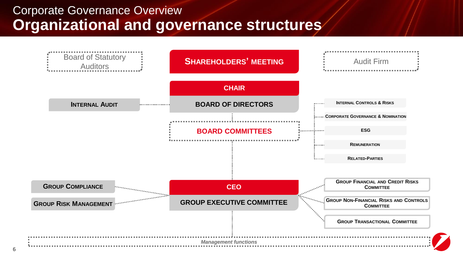### **Organizational and governance structures** Corporate Governance Overview

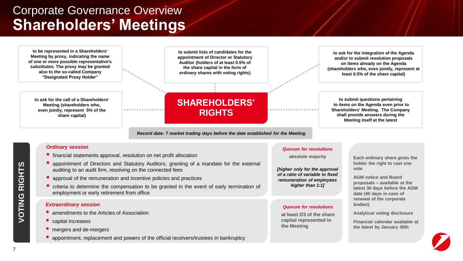## **Shareholders' Meetings** Corporate Governance Overview

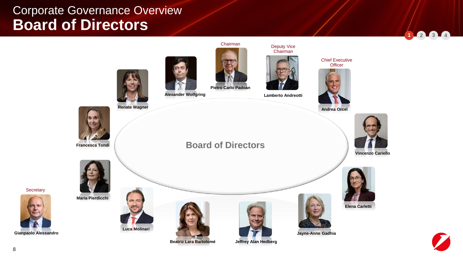

**Secretary** 

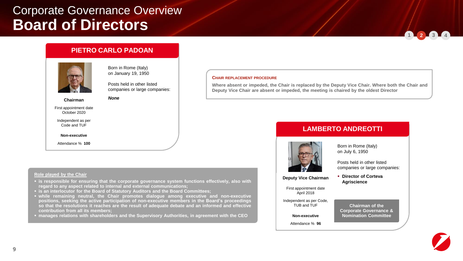#### **PIETRO CARLO PADOAN**

*None*

**regard to any aspect related to internal and external communications;**



Born in Rome (Italy) on January 19, 1950

Posts held in other listed companies or large companies:

**Chairman**

First appointment date October 2020

Independent as per Code and TUF

**Non-executive**

Attendance % **100**

**Role played by the Chair**

#### **CHAIR REPLACEMENT PROCEDURE**

**Where absent or impeded, the Chair is replaced by the Deputy Vice Chair. Where both the Chair and Deputy Vice Chair are absent or impeded, the meeting is chaired by the oldest Director**

#### **LAMBERTO ANDREOTTI**



Born in Rome (Italy) on July 6, 1950

Posts held in other listed companies or large companies:

▪ **Director of Corteva Agriscience**

**Deputy Vice Chairman**

First appointment date April 2018

Independent as per Code, TUB and TUF

**Non-executive**

Attendance % **96**

#### **Chairman of the Corporate Governance & Nomination Committee**



**1 2 3 4**

▪ **is an interlocutor for the Board of Statutory Auditors and the Board Committees;**

▪ **while remaining neutral, the Chair promotes dialogue among executive and non-executive positions, seeking the active participation of non-executive members in the Board's proceedings so that the resolutions it reaches are the result of adequate debate and an informed and effective contribution from all its members;**

▪ **is responsible for ensuring that the corporate governance system functions effectively, also with**

▪ **manages relations with shareholders and the Supervisory Authorities, in agreement with the CEO**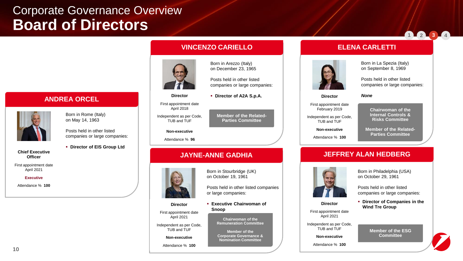**1 2 3 4**



**VINCENZO CARIELLO**

on December 23, 1965

companies or large companies:

▪ **Director of A2A S.p.A.**

**Director** First appointment date April 2018

Independent as per Code, TUB and TUF

#### **Non-executive**

Attendance % **96**

#### **JAYNE-ANNE GADHIA**

or large companies:

**Snoop**

**Chairwoman of the Remuneration Committee**

**Corporate Governance &** 

Born in Arezzo (Italy)

Posts held in other listed

**Member of the Related-**

**Parties Committee**

**Director** First appointment date February 2019

Independent as per Code, TUB and TUF

**Non-executive**

Attendance % **100**

### Born in La Spezia (Italy)

on September 8, 1969

Posts held in other listed companies or large companies:

*None*

**ELENA CARLETTI**

**Chairwoman of the Internal Controls & Risks Committee**

**Member of the Related-Parties Committee**

#### **JEFFREY ALAN HEDBERG**



**Director** First appointment date April 2021 Independent as per Code, TUB and TUF **Non-executive** Attendance % **100**

Born in Philadelphia (USA) on October 29, 1961

Posts held in other listed companies or large companies:

▪ **Director of Companies in the Wind Tre Group**

> **Member of the ESG Committee**

on May 14, 1963

**ANDREA ORCEL**

Born in Rome (Italy)

Posts held in other listed companies or large companies:

▪ **Director of EIS Group Ltd**

**Chief Executive Officer**

First appointment date April 2021

#### **Executive**

Attendance % **100**

**Director**

First appointment date

Independent as per Code, TUB and TUF

**Non-executive**

Attendance % **100**



April 2021

Born in Stourbridge (UK) on October 19, 1961

Posts held in other listed companies

▪ **Executive Chairwoman of** 

**Member of the Nomination Committee**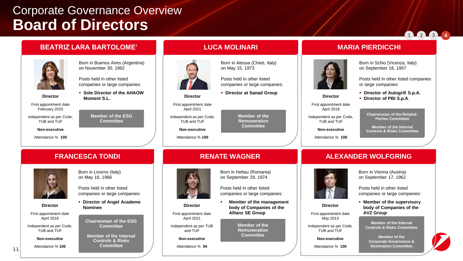**Moment S.L.**

#### **BEATRIZ LARA BARTOLOME'**



Born in Buenos Aires (Argentina) on November 30, 1962

Posts held in other listed companies or large companies: ▪ **Sole Director of the AHAOW** 

> **Member of the ESG Committee**

**Director**

First appointment date February 2020

Independent as per Code, TUB and TUF

**Non-executive**

Attendance % **100**

**Director** First appointment date April 2018 Independent as per Code, TUB and TUF



Born in Atessa (Chieti, Italy) on May 15, 1973

Posts held in other listed companies or large companies:

▪ **Director at Sanad Group**

**Member of the Remuneration Committee**

TUB and TUF **Non-executive**

**Director** First appointment date April 2021 Independent as per Code,

Attendance % **100**

#### **RENATE WAGNER**



**Director**

First appointment date

April 2021 Independent as per TUB and TUF

**Non-executive**

Attendance % **94**

### Born in Heltau (Romania) on September 29, 1974

Posts held in other listed companies or large companies:

**Member of the management body of Companies of the Allianz SE Group**

> **Member of the Remuneration Committee**

#### **MARIA PIERDICCHI**



**Director** First appointment date April 2018 Independent as per Code, TUB and TUF **Non-executive** Attendance % **100**

Born in Schio (Vicenza, Italy) on September 18, 1957

Posts held in other listed companies or large companies:

**1 2 3 4**

- **Director of Autogrill S.p.A.**
- **Director of PBI S.p.A**.

**Chairwoman of the Related-Parties Committee**

**Member of the Internal Controls & Risks Committee**

#### **ALEXANDER WOLFGRING**



**Director**

First appointment date May 2013

Independent as per Code, TUB and TUF

**Non-executive**

Attendance % **100**

Born in Vienna (Austria) on September 17, 1962

Posts held in other listed companies or large companies:

▪ **Member of the supervisory body of Companies of the AVZ Group**

> **Member of the Internal Controls & Risks Committee**

**Member of the Corporate Governance & Nomination Committee**



**Non-executive** Attendance % **100**

**FRANCESCA TONDI** Born in Livorno (Italy) on May 16, 1966

> Posts held in other listed companies or large companies:

▪ **Director of Angel Academe Nominee**

**Chairwoman of the ESG Committee**

**Member of the Internal Controls & Risks Committee**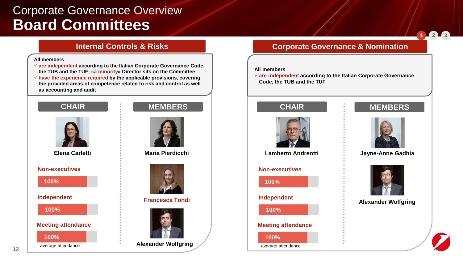### **Board Committees** Corporate Governance Overview

#### **Internal Controls & Risks**

#### **All members**

✓**are independent according to the Italian Corporate Governance Code, the TUB and the TUF; «a minority» Director sits on the Committee** ✓**have the experience required by the applicable provisions, covering the provided areas of competence related to risk and control as well as accounting and audit**





**Elena Carletti**

**Non-executives**

**100%**

**Independent**

**100%**

**Meeting attendance**





**Maria Pierdicchi**



**Francesca Tondi**



**Alexander Wolfgring**

#### **Corporate Governance & Nomination**

#### **All members**

✓**are independent according to the Italian Corporate Governance Code, the TUB and the TUF**

#### **CHAIR MEMBERS**



**Lamberto Andreotti**

#### **Non-executives**





**Jayne-Anne Gadhia**



**Alexander Wolfgring**



**1 2 3**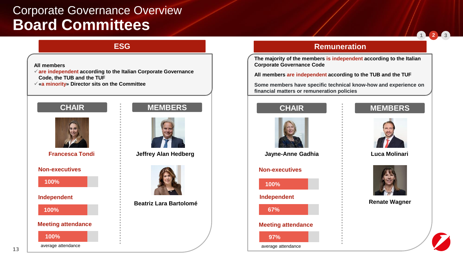### **Board Committees** Corporate Governance Overview

#### **All members**

✓**are independent according to the Italian Corporate Governance Code, the TUB and the TUF**

✓**«a minority» Director sits on the Committee**







**Francesca Tondi**

**Non-executives**

**100%**

**Independent**

**100%**

#### **Meeting attendance**

**100%**

average attendance



**Jeffrey Alan Hedberg**



**Beatriz Lara Bartolomé**

#### **ESG Remuneration**

**The majority of the members is independent according to the Italian Corporate Governance Code** 

**All members are independent according to the TUB and the TUF**

**Some members have specific technical know-how and experience on financial matters or remuneration policies**



#### **CHAIR MEMBERS**



**Jayne-Anne Gadhia Luca Molinari**

#### **Non-executives**







**Renate Wagner**



**1 2 3**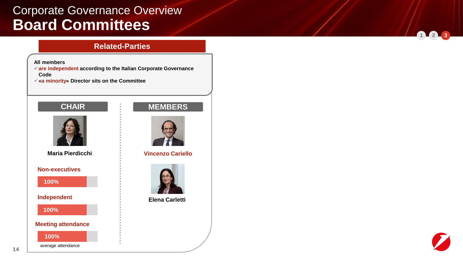### **Board Committees** Corporate Governance Overview

#### **Related-Parties**

#### **All members**

✓**are independent according to the Italian Corporate Governance Code**

✓**«a minority» Director sits on the Committee**

### **CHAIR MEMBERS**



**Maria Pierdicchi**

**Non-executives**

**100%**

**Independent**

**100%**

**Meeting attendance**

**100%**

average attendance





**Vincenzo Cariello**



**Elena Carletti**



**1 2 3**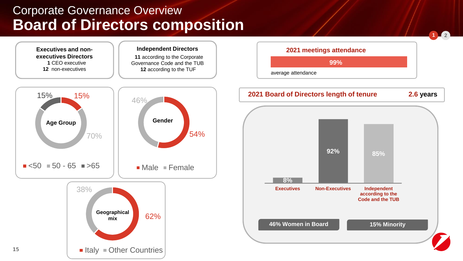# **Board of Directors composition** Corporate Governance Overview

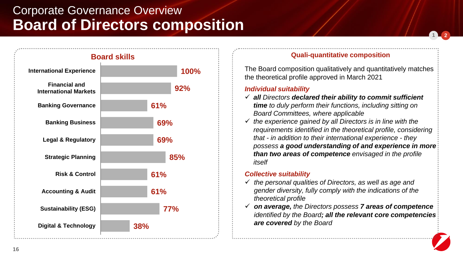# **Board of Directors composition** Corporate Governance Overview



#### **Board skills**

#### **Quali-quantitative composition**

**1 2**

The Board composition qualitatively and quantitatively matches the theoretical profile approved in March 2021

#### *Individual suitability*

- ✓ *all Directors declared their ability to commit sufficient time to duly perform their functions, including sitting on Board Committees, where applicable*
- ✓ *the experience gained by all Directors is in line with the requirements identified in the theoretical profile, considering that - in addition to their international experience - they possess a good understanding of and experience in more than two areas of competence envisaged in the profile itself*

#### *Collective suitability*

- ✓ *the personal qualities of Directors, as well as age and gender diversity, fully comply with the indications of the theoretical profile*
- ✓ *on average, the Directors possess 7 areas of competence identified by the Board; all the relevant core competencies are covered by the Board*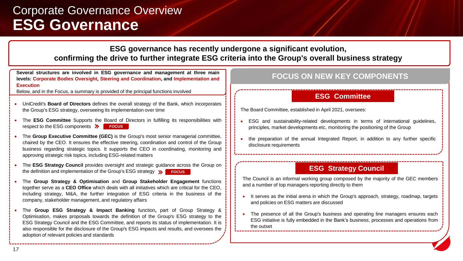### **ESG Governance** Corporate Governance Overview

#### **ESG governance has recently undergone a significant evolution, confirming the drive to further integrate ESG criteria into the Group's overall business strategy**

**Several structures are involved in ESG governance and management at three main levels: Corporate Bodies Oversight, Steering and Coordination, and Implementation and Execution**

Below, and in the Focus, a summary is provided of the principal functions involved

- UniCredit's **Board of Directors** defines the overall strategy of the Bank, which incorporates the Group's ESG strategy, overseeing its implementation over time
- The **ESG Committee** Supports the Board of Directors in fulfilling its responsibilities with **FOCUS** respect to the ESG components **>> FOCUS**
- The **Group Executive Committee (GEC)** is the Group's most senior managerial committee, chaired by the CEO. It ensures the effective steering, coordination and control of the Group business regarding strategic topics. It supports the CEO in coordinating, monitoring and approving strategic risk topics, including ESG-related matters
- The **ESG Strategy Council** provides oversight and strategic guidance across the Group on the definition and implementation of the Group's ESG strategy >>>>>>
- The **Group Strategy & Optimisation** and **Group Stakeholder Engagement** functions together serve as a **CEO Office** which deals with all initiatives which are critical for the CEO, including strategy, M&A, the further integration of ESG criteria in the business of the company, stakeholder management, and regulatory affairs
- The **Group ESG Strategy & Impact Banking** function**,** part of Group Strategy & Optimisation, makes proposals towards the definition of the Group's ESG strategy to the ESG Strategy Council and the ESG Committee, and reports its status of implementation. It is also responsible for the disclosure of the Group's ESG impacts and results, and oversees the adoption of relevant policies and standards

#### **FOCUS ON NEW KEY COMPONENTS**

#### **ESG Committee**

The Board Committee, established in April 2021, oversees:

- ESG and sustainability-related developments in terms of international guidelines, principles, market developments etc, monitoring the positioning of the Group
- the preparation of the annual Integrated Report, in addition to any further specific disclosure requirements

#### **ESG Strategy Council**

The Council is an informal working group composed by the majority of the GEC members and a number of top managers reporting directly to them

- It serves as the initial arena in which the Group's approach, strategy, roadmap, targets and policies on ESG matters are discussed
- The presence of all the Group's business and operating line managers ensures each ESG initiative is fully embedded in the Bank's business, processes and operations from the outset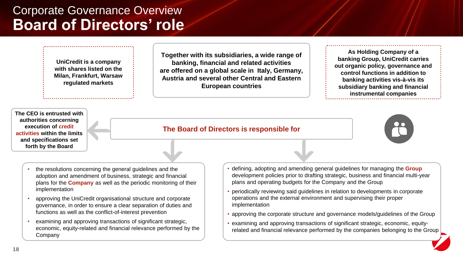**UniCredit is a company with shares listed on the Milan, Frankfurt, Warsaw regulated markets**

**Together with its subsidiaries, a wide range of banking, financial and related activities are offered on a global scale in Italy, Germany, Austria and several other Central and Eastern European countries** 

**As Holding Company of a banking Group, UniCredit carries out organic policy, governance and control functions in addition to banking activities vis-à-vis its subsidiary banking and financial instrumental companies**

**The CEO is entrusted with authorities concerning execution of credit activities within the limits and specifications set forth by the Board**

#### **The Board of Directors is responsible for**



- the resolutions concerning the general guidelines and the adoption and amendment of business, strategic and financial plans for the **Company** as well as the periodic monitoring of their implementation
- approving the UniCredit organisational structure and corporate governance, in order to ensure a clear separation of duties and functions as well as the conflict-of-interest prevention
- examining and approving transactions of significant strategic, economic, equity-related and financial relevance performed by the Company
- defining, adopting and amending general guidelines for managing the **Group** development policies prior to drafting strategic, business and financial multi-year plans and operating budgets for the Company and the Group
- periodically reviewing said guidelines in relation to developments in corporate operations and the external environment and supervising their proper implementation
- approving the corporate structure and governance models/guidelines of the Group
- examining and approving transactions of significant strategic, economic, equityrelated and financial relevance performed by the companies belonging to the Group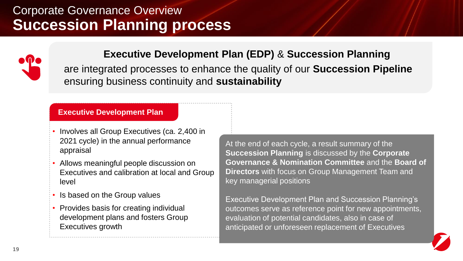## **Succession Planning process** Corporate Governance Overview



### **Executive Development Plan (EDP)** & **Succession Planning**

are integrated processes to enhance the quality of our **Succession Pipeline**  ensuring business continuity and **sustainability**

#### **Executive Development Plan**

- Involves all Group Executives (ca. 2,400 in 2021 cycle) in the annual performance appraisal
- Allows meaningful people discussion on Executives and calibration at local and Group level
- Is based on the Group values
- Provides basis for creating individual development plans and fosters Group Executives growth

At the end of each cycle, a result summary of the **Succession Planning** is discussed by the **Corporate Governance & Nomination Committee** and the **Board of Directors** with focus on Group Management Team and key managerial positions

Executive Development Plan and Succession Planning's outcomes serve as reference point for new appointments, evaluation of potential candidates, also in case of anticipated or unforeseen replacement of Executives

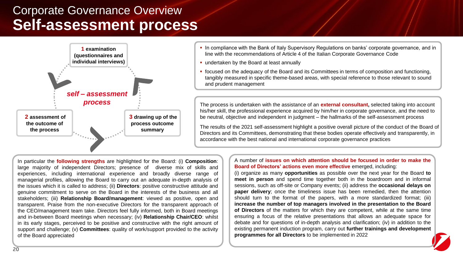### **Self-assessment process** Corporate Governance Overview



- **.** In compliance with the Bank of Italy Supervisory Regulations on banks' corporate governance, and in line with the recommendations of Article 4 of the Italian Corporate Governance Code
- undertaken by the Board at least annually
- focused on the adequacy of the Board and its Committees in terms of composition and functioning, tangibly measured in specific theme-based areas, with special reference to those relevant to sound and prudent management

The process is undertaken with the assistance of an **external consultant,** selected taking into account his/her skill, the professional experience acquired by him/her in corporate governance, and the need to be neutral, objective and independent in judgment – the hallmarks of the self-assessment process

The results of the 2021 self-assessment highlight a positive overall picture of the conduct of the Board of Directors and its Committees, demonstrating that these bodies operate effectively and transparently, in accordance with the best national and international corporate governance practices

In particular the **following strengths** are highlighted for the Board: (i) **Composition**: large majority of independent Directors; presence of diverse mix of skills and experiences, including international experience and broadly diverse range of managerial profiles, allowing the Board to carry out an adequate in-depth analysis of the issues which it is called to address; (ii) **Directors**: positive constructive attitude and genuine commitment to serve on the Board in the interests of the business and all stakeholders; (iii) **Relationship Board/management**: viewed as positive, open and transparent. Praise from the non-executive Directors for the transparent approach of the CEO/management team take. Directors feel fully informed, both in Board meetings and in-between Board meetings when necessary; (iv) **Relationship Chair/CEO**: whilst in its early stages, perceived to be positive and constructive with the right amount of support and challenge; (v) **Committees**: quality of work/support provided to the activity of the Board appreciated

A number of **issues on which attention should be focused in order to make the Board of Directors' actions even more effective** emerged, including:

(i) organize as many **opportunities** as possible over the next year for the Board **to meet in person** and spend time together both in the boardroom and in informal sessions, such as off-site or Company events; (ii) address the **occasional delays on paper delivery**; once the timeliness issue has been remedied, then the attention should turn to the format of the papers, with a more standardized format; (iii) **increase the number of top managers involved in the presentation to the Board of Directors** of the matters for which they are competent, while at the same time ensuring a focus of the relative presentations that allows an adequate space for debate and for questions of in-depth analysis and clarification; (iv) in addition to the existing permanent induction program, carry out **further trainings and development programmes for all Directors** to be implemented in 2022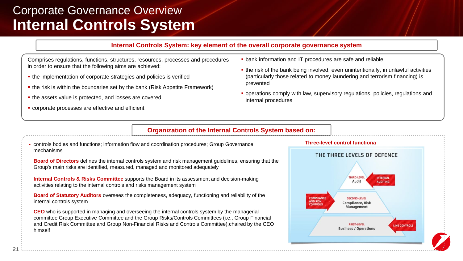### **Internal Controls System** Corporate Governance Overview

#### **Internal Controls System: key element of the overall corporate governance system**

Comprises regulations, functions, structures, resources, processes and procedures in order to ensure that the following aims are achieved:

- **.** the implementation of corporate strategies and policies is verified
- **.** the risk is within the boundaries set by the bank (Risk Appetite Framework)
- **.** the assets value is protected, and losses are covered
- **corporate processes are effective and efficient**
- **bank information and IT procedures are safe and reliable**
- **.** the risk of the bank being involved, even unintentionally, in unlawful activities (particularly those related to money laundering and terrorism financing) is prevented
- operations comply with law, supervisory regulations, policies, regulations and internal procedures

#### **Organization of the Internal Controls System based on:**

▪ controls bodies and functions; information flow and coordination procedures; Group Governance mechanisms

**Board of Directors** defines the internal controls system and risk management guidelines, ensuring that the Group's main risks are identified, measured, managed and monitored adequately

**Internal Controls & Risks Committee** supports the Board in its assessment and decision-making activities relating to the internal controls and risks management system

**Board of Statutory Auditors** oversees the completeness, adequacy, functioning and reliability of the internal controls system

**CEO** who is supported in managing and overseeing the internal controls system by the managerial committee Group Executive Committee and the Group Risks/Controls Committees (i.e., Group Financial and Credit Risk Committee and Group Non-Financial Risks and Controls Committee),chaired by the CEO himself

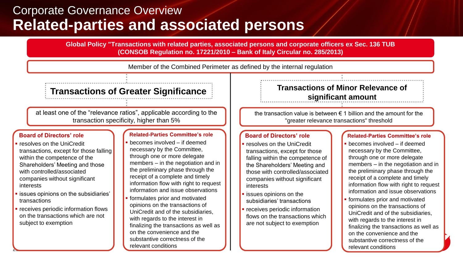### **Related-parties and associated persons** Corporate Governance Overview

**Global Policy "Transactions with related parties, associated persons and corporate officers ex Sec. 136 TUB (CONSOB Regulation no. 17221/2010 – Bank of Italy Circular no. 285/2013)**

Member of the Combined Perimeter as defined by the internal regulation

at least one of the "relevance ratios", applicable according to the transaction specificity, higher than 5%

#### **Board of Directors' role**

- resolves on the UniCredit transactions, except for those falling within the competence of the Shareholders' Meeting and those with controlled/associated companies without significant **interests**
- issues opinions on the subsidiaries' transactions
- receives periodic information flows on the transactions which are not subject to exemption

**22**

#### **Related-Parties Committee's role**

- becomes involved if deemed necessary by the Committee, through one or more delegate members – in the negotiation and in the preliminary phase through the receipt of a complete and timely information flow with right to request information and issue observations
- formulates prior and motivated opinions on the transactions of UniCredit and of the subsidiaries, with regards to the interest in finalizing the transactions as well as on the convenience and the substantive correctness of the relevant conditions

### **Transactions of Greater Significance <b>Transactions of Minor Relevance of significant amount**

the transaction value is between  $\epsilon$  1 billion and the amount for the "greater relevance transactions" threshold

#### **Board of Directors' role**

- resolves on the UniCredit transactions, except for those falling within the competence of the Shareholders' Meeting and those with controlled/associated companies without significant interests
- issues opinions on the subsidiaries' transactions
- **·** receives periodic information flows on the transactions which are not subject to exemption

#### **Related-Parties Committee's role**

- $becomes involved if deemed$ necessary by the Committee, through one or more delegate members – in the negotiation and in the preliminary phase through the receipt of a complete and timely information flow with right to request information and issue observations
- formulates prior and motivated opinions on the transactions of UniCredit and of the subsidiaries, with regards to the interest in finalizing the transactions as well as on the convenience and the substantive correctness of the relevant conditions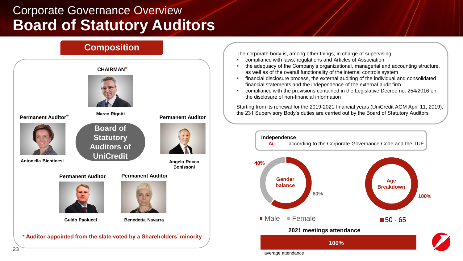# **Board of Statutory Auditors** Corporate Governance Overview



The corporate body is, among other things, in charge of supervising:

- compliance with laws, regulations and Articles of Association
- the adequacy of the Company's organizational, managerial and accounting structure, as well as of the overall functionality of the internal controls system
- financial disclosure process, the external auditing of the individual and consolidated financial statements and the independence of the external audit firm
- **•** compliance with the provisions contained in the Legislative Decree no. 254/2016 on the disclosure of non-financial information

Starting from its renewal for the 2019-2021 financial years (UniCredit AGM April 11, 2019), the 231 Supervisory Body's duties are carried out by the Board of Statutory Auditors